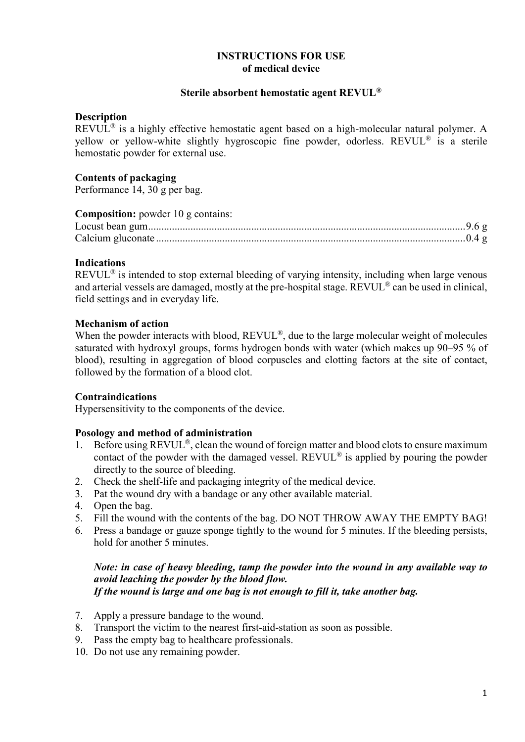# **INSTRUCTIONS FOR USE of medical device**

### **Sterile absorbent hemostatic agent REVUL®**

## **Description**

REVUL<sup>®</sup> is a highly effective hemostatic agent based on a high-molecular natural polymer. A yellow or yellow-white slightly hygroscopic fine powder, odorless. REVUL® is a sterile hemostatic powder for external use.

## **Contents of packaging**

Performance 14, 30 g per bag.

| <b>Composition:</b> powder 10 g contains: |  |
|-------------------------------------------|--|
|                                           |  |
|                                           |  |

## **Indications**

REVUL<sup>®</sup> is intended to stop external bleeding of varying intensity, including when large venous and arterial vessels are damaged, mostly at the pre-hospital stage. REVUL® can be used in clinical, field settings and in everyday life.

## **Mechanism of action**

When the powder interacts with blood, REVUL<sup>®</sup>, due to the large molecular weight of molecules saturated with hydroxyl groups, forms hydrogen bonds with water (which makes up 90–95 % of blood), resulting in aggregation of blood corpuscles and clotting factors at the site of contact, followed by the formation of a blood clot.

#### **Contraindications**

Hypersensitivity to the components of the device.

#### **Posology and method of administration**

- 1. Before using REVUL<sup>®</sup>, clean the wound of foreign matter and blood clots to ensure maximum contact of the powder with the damaged vessel. REVUL® is applied by pouring the powder directly to the source of bleeding.
- 2. Check the shelf-life and packaging integrity of the medical device.
- 3. Pat the wound dry with a bandage or any other available material.
- 4. Open the bag.
- 5. Fill the wound with the contents of the bag. DO NOT THROW AWAY THE EMPTY BAG!
- 6. Press a bandage or gauze sponge tightly to the wound for 5 minutes. If the bleeding persists, hold for another 5 minutes.

## *Note: in case of heavy bleeding, tamp the powder into the wound in any available way to avoid leaching the powder by the blood flow. If the wound is large and one bag is not enough to fill it, take another bag.*

- 7. Apply a pressure bandage to the wound.
- 8. Transport the victim to the nearest first-aid-station as soon as possible.
- 9. Pass the empty bag to healthcare professionals.
- 10. Do not use any remaining powder.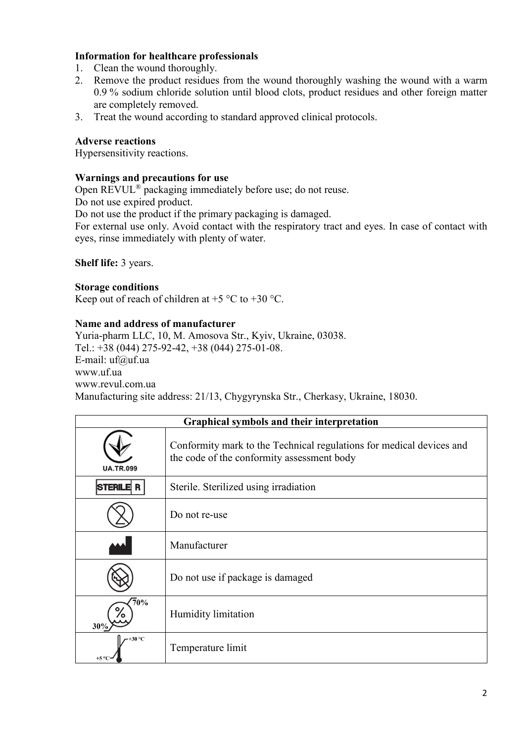## **Information for healthcare professionals**

- 1. Clean the wound thoroughly.
- 2. Remove the product residues from the wound thoroughly washing the wound with a warm 0.9 % sodium chloride solution until blood clots, product residues and other foreign matter are completely removed.
- 3. Treat the wound according to standard approved clinical protocols.

## **Adverse reactions**

Hypersensitivity reactions.

### **Warnings and precautions for use**

Open REVUL<sup>®</sup> packaging immediately before use; do not reuse.

Do not use expired product.

Do not use the product if the primary packaging is damaged.

For external use only. Avoid contact with the respiratory tract and eyes. In case of contact with eyes, rinse immediately with plenty of water.

**Shelf life:** 3 years.

## **Storage conditions**

Keep out of reach of children at  $+5$  °C to  $+30$  °C.

## **Name and address of manufacturer**

Yuria-pharm LLC, 10, M. Amosova Str., Kyiv, Ukraine, 03038. Tel.: +38 (044) 275-92-42, +38 (044) 275-01-08. E-mail: uf@uf.ua www.uf.ua www.revul.com.ua Manufacturing site address: 21/13, Chygyrynska Str., Cherkasy, Ukraine, 18030.

| Graphical symbols and their interpretation |                                                                                                                    |  |
|--------------------------------------------|--------------------------------------------------------------------------------------------------------------------|--|
| <b>UA.TR.099</b>                           | Conformity mark to the Technical regulations for medical devices and<br>the code of the conformity assessment body |  |
| <b>STERILE R</b>                           | Sterile. Sterilized using irradiation                                                                              |  |
|                                            | Do not re-use                                                                                                      |  |
|                                            | Manufacturer                                                                                                       |  |
|                                            | Do not use if package is damaged                                                                                   |  |
| 70%<br>30%                                 | Humidity limitation                                                                                                |  |
| +30 $\,^{\circ}\mathrm{C}$                 | Temperature limit                                                                                                  |  |